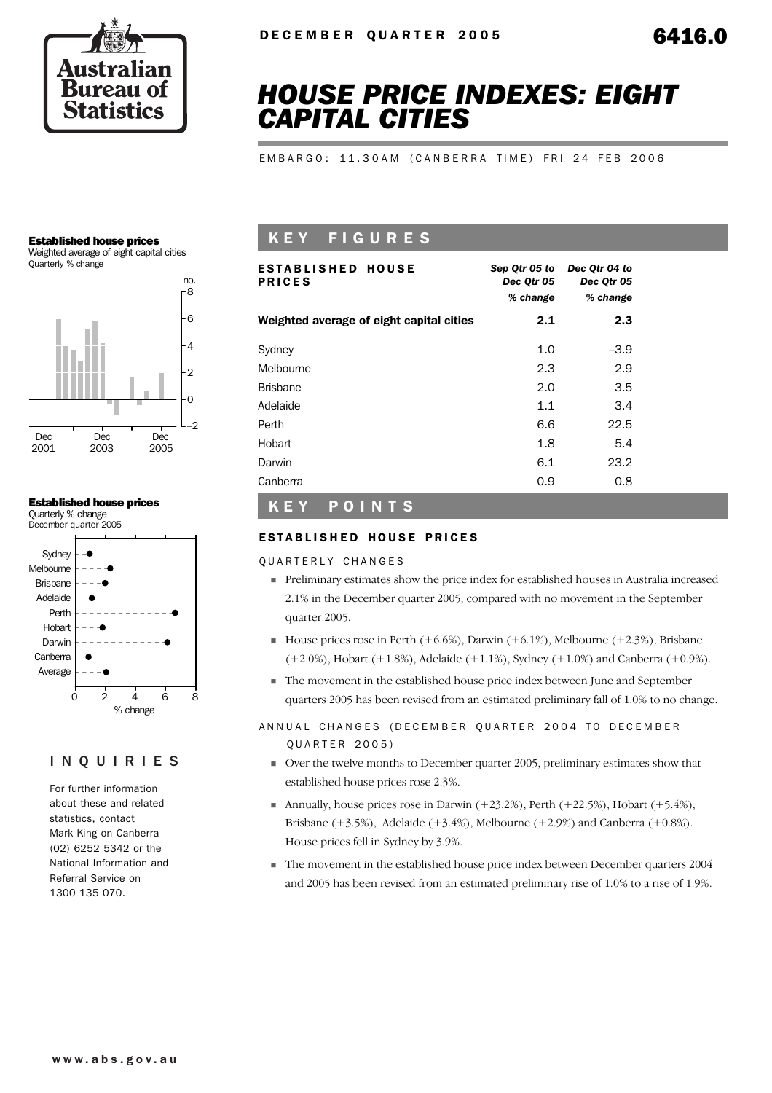

# *HOUSE PRICE INDEXES: EIGHT CAPITAL CITIES*

EMBARGO: 11.30AM (CANBERRA TIME) FRI 24 FEB 2006

#### Established house prices

Weighted average of eight capital cities Quarterly % change



#### Established house prices

Quarterly % change December quarter 2005



### INQUIRIES

For further information about these and related statistics, contact Mark King on Canberra (02) 6252 5342 or the National Information and Referral Service on 1300 135 070.

## K E Y F I G U R E S

| <b>ESTABLISHED HOUSE</b><br><b>PRICES</b> | Sep Qtr 05 to<br>Dec Qtr 05<br>% change | Dec Otr 04 to<br>Dec Qtr 05<br>% change |
|-------------------------------------------|-----------------------------------------|-----------------------------------------|
| Weighted average of eight capital cities  | 2.1                                     | 2.3                                     |
| Sydney                                    | 1.0                                     | $-3.9$                                  |
| Melbourne                                 | 2.3                                     | 2.9                                     |
| <b>Brisbane</b>                           | 2.0                                     | 3.5                                     |
| Adelaide                                  | 1.1                                     | 3.4                                     |
| Perth                                     | 6.6                                     | 22.5                                    |
| Hobart                                    | 1.8                                     | 5.4                                     |
| Darwin                                    | 6.1                                     | 23.2                                    |
| Canberra                                  | 0.9                                     | 0.8                                     |

### K E Y P O I N T S

#### ESTABLISHED HOUSE PRICES

QUARTERLY CHANGES

- ! Preliminary estimates show the price index for established houses in Australia increased 2.1% in the December quarter 2005, compared with no movement in the September quarter 2005.
- $\blacksquare$  House prices rose in Perth (+6.6%), Darwin (+6.1%), Melbourne (+2.3%), Brisbane  $(+2.0\%)$ , Hobart  $(+1.8\%)$ , Adelaide  $(+1.1\%)$ , Sydney  $(+1.0\%)$  and Canberra  $(+0.9\%)$ .
- ! The movement in the established house price index between June and September quarters 2005 has been revised from an estimated preliminary fall of 1.0% to no change.

#### ANNUAL CHANGES (DECEMBER QUARTER 2004 TO DECEMBER Q U A R T E R 2005)

- ! Over the twelve months to December quarter 2005, preliminary estimates show that established house prices rose 2.3%.
- **I** Annually, house prices rose in Darwin  $(+23.2\%)$ , Perth  $(+22.5\%)$ , Hobart  $(+5.4\%)$ , Brisbane  $(+3.5%)$ , Adelaide  $(+3.4%)$ , Melbourne  $(+2.9%)$  and Canberra  $(+0.8%)$ . House prices fell in Sydney by 3.9%.
- ! The movement in the established house price index between December quarters 2004 and 2005 has been revised from an estimated preliminary rise of 1.0% to a rise of 1.9%.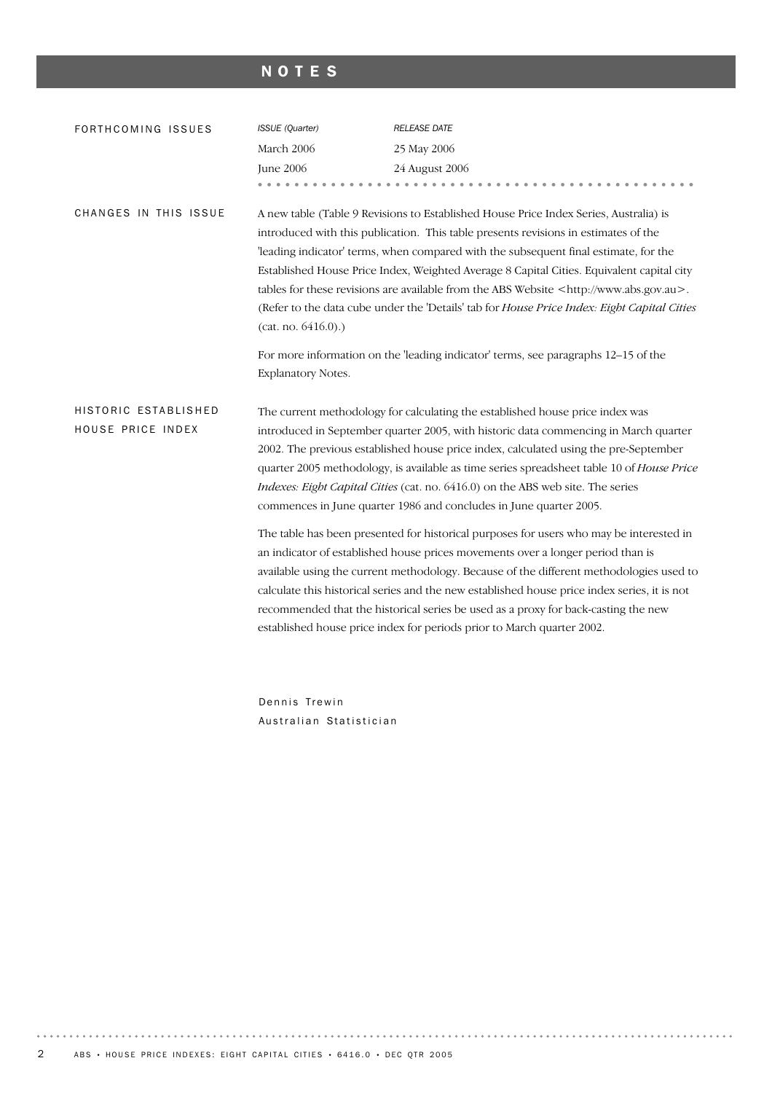## NOTES

| FORTHCOMING ISSUES                        | ISSUE (Quarter)                          | <b>RELEASE DATE</b>                                                                                                                                                                                                                                                                                                                                                                                                                                                                                                                                                                                                                                          |
|-------------------------------------------|------------------------------------------|--------------------------------------------------------------------------------------------------------------------------------------------------------------------------------------------------------------------------------------------------------------------------------------------------------------------------------------------------------------------------------------------------------------------------------------------------------------------------------------------------------------------------------------------------------------------------------------------------------------------------------------------------------------|
|                                           | March 2006                               | 25 May 2006                                                                                                                                                                                                                                                                                                                                                                                                                                                                                                                                                                                                                                                  |
|                                           | <b>June 2006</b>                         | 24 August 2006                                                                                                                                                                                                                                                                                                                                                                                                                                                                                                                                                                                                                                               |
|                                           |                                          | .                                                                                                                                                                                                                                                                                                                                                                                                                                                                                                                                                                                                                                                            |
| CHANGES IN THIS ISSUE                     | (cat. no. 6416.0).<br>Explanatory Notes. | A new table (Table 9 Revisions to Established House Price Index Series, Australia) is<br>introduced with this publication. This table presents revisions in estimates of the<br>'leading indicator' terms, when compared with the subsequent final estimate, for the<br>Established House Price Index, Weighted Average 8 Capital Cities. Equivalent capital city<br>tables for these revisions are available from the ABS Website <http: www.abs.gov.au="">.<br/>(Refer to the data cube under the 'Details' tab for House Price Index: Eight Capital Cities<br/>For more information on the 'leading indicator' terms, see paragraphs 12-15 of the</http:> |
| HISTORIC ESTABLISHED<br>HOUSE PRICE INDEX |                                          | The current methodology for calculating the established house price index was<br>introduced in September quarter 2005, with historic data commencing in March quarter<br>2002. The previous established house price index, calculated using the pre-September<br>quarter 2005 methodology, is available as time series spreadsheet table 10 of House Price<br>Indexes: Eight Capital Cities (cat. no. 6416.0) on the ABS web site. The series<br>commences in June quarter 1986 and concludes in June quarter 2005.                                                                                                                                          |
|                                           |                                          | The table has been presented for historical purposes for users who may be interested in<br>an indicator of established house prices movements over a longer period than is<br>available using the current methodology. Because of the different methodologies used to<br>calculate this historical series and the new established house price index series, it is not<br>recommended that the historical series be used as a proxy for back-casting the new<br>established house price index for periods prior to March quarter 2002.                                                                                                                        |
|                                           | Dennis Trewin                            |                                                                                                                                                                                                                                                                                                                                                                                                                                                                                                                                                                                                                                                              |

Australian Statistician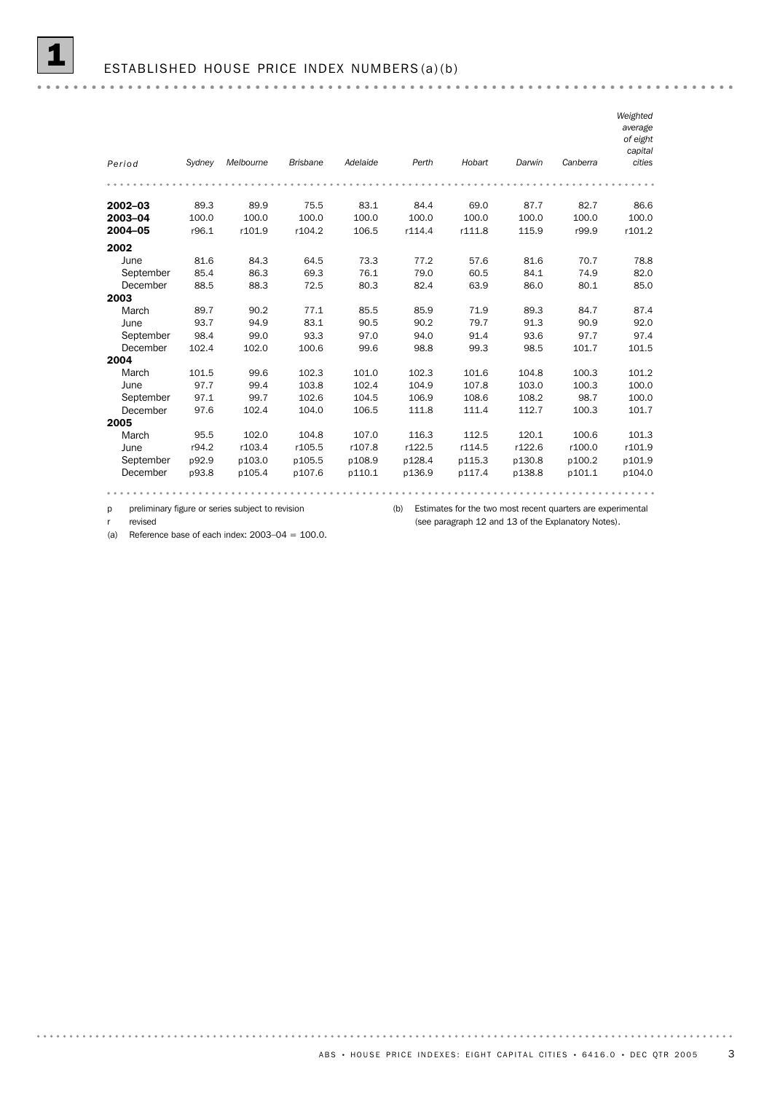|           |        |           |                 |          |        |        |        |          | Weighted<br>average<br>of eight<br>capital |
|-----------|--------|-----------|-----------------|----------|--------|--------|--------|----------|--------------------------------------------|
| Period    | Sydney | Melbourne | <b>Brisbane</b> | Adelaide | Perth  | Hobart | Darwin | Canberra | cities                                     |
|           |        |           |                 |          |        |        |        |          |                                            |
| 2002-03   | 89.3   | 89.9      | 75.5            | 83.1     | 84.4   | 69.0   | 87.7   | 82.7     | 86.6                                       |
| 2003-04   | 100.0  | 100.0     | 100.0           | 100.0    | 100.0  | 100.0  | 100.0  | 100.0    | 100.0                                      |
| 2004-05   | r96.1  | r101.9    | r104.2          | 106.5    | r114.4 | r111.8 | 115.9  | r99.9    | r101.2                                     |
| 2002      |        |           |                 |          |        |        |        |          |                                            |
| June      | 81.6   | 84.3      | 64.5            | 73.3     | 77.2   | 57.6   | 81.6   | 70.7     | 78.8                                       |
| September | 85.4   | 86.3      | 69.3            | 76.1     | 79.0   | 60.5   | 84.1   | 74.9     | 82.0                                       |
| December  | 88.5   | 88.3      | 72.5            | 80.3     | 82.4   | 63.9   | 86.0   | 80.1     | 85.0                                       |
| 2003      |        |           |                 |          |        |        |        |          |                                            |
| March     | 89.7   | 90.2      | 77.1            | 85.5     | 85.9   | 71.9   | 89.3   | 84.7     | 87.4                                       |
| June      | 93.7   | 94.9      | 83.1            | 90.5     | 90.2   | 79.7   | 91.3   | 90.9     | 92.0                                       |
| September | 98.4   | 99.0      | 93.3            | 97.0     | 94.0   | 91.4   | 93.6   | 97.7     | 97.4                                       |
| December  | 102.4  | 102.0     | 100.6           | 99.6     | 98.8   | 99.3   | 98.5   | 101.7    | 101.5                                      |
| 2004      |        |           |                 |          |        |        |        |          |                                            |
| March     | 101.5  | 99.6      | 102.3           | 101.0    | 102.3  | 101.6  | 104.8  | 100.3    | 101.2                                      |
| June      | 97.7   | 99.4      | 103.8           | 102.4    | 104.9  | 107.8  | 103.0  | 100.3    | 100.0                                      |
| September | 97.1   | 99.7      | 102.6           | 104.5    | 106.9  | 108.6  | 108.2  | 98.7     | 100.0                                      |
| December  | 97.6   | 102.4     | 104.0           | 106.5    | 111.8  | 111.4  | 112.7  | 100.3    | 101.7                                      |
| 2005      |        |           |                 |          |        |        |        |          |                                            |
| March     | 95.5   | 102.0     | 104.8           | 107.0    | 116.3  | 112.5  | 120.1  | 100.6    | 101.3                                      |
| June      | r94.2  | r103.4    | r105.5          | r107.8   | r122.5 | r114.5 | r122.6 | r100.0   | r101.9                                     |
| September | p92.9  | p103.0    | p105.5          | p108.9   | p128.4 | p115.3 | p130.8 | p100.2   | p101.9                                     |
| December  | p93.8  | p105.4    | p107.6          | p110.1   | p136.9 | p117.4 | p138.8 | p101.1   | p104.0                                     |
|           |        |           |                 |          |        |        |        |          |                                            |

(b) Estimates for the two most recent quarters are experimental p preliminary figure or series subject to revision (see paragraph 12 and 13 of the Explanatory Notes).

r revised

(a) Reference base of each index:  $2003-04 = 100.0$ .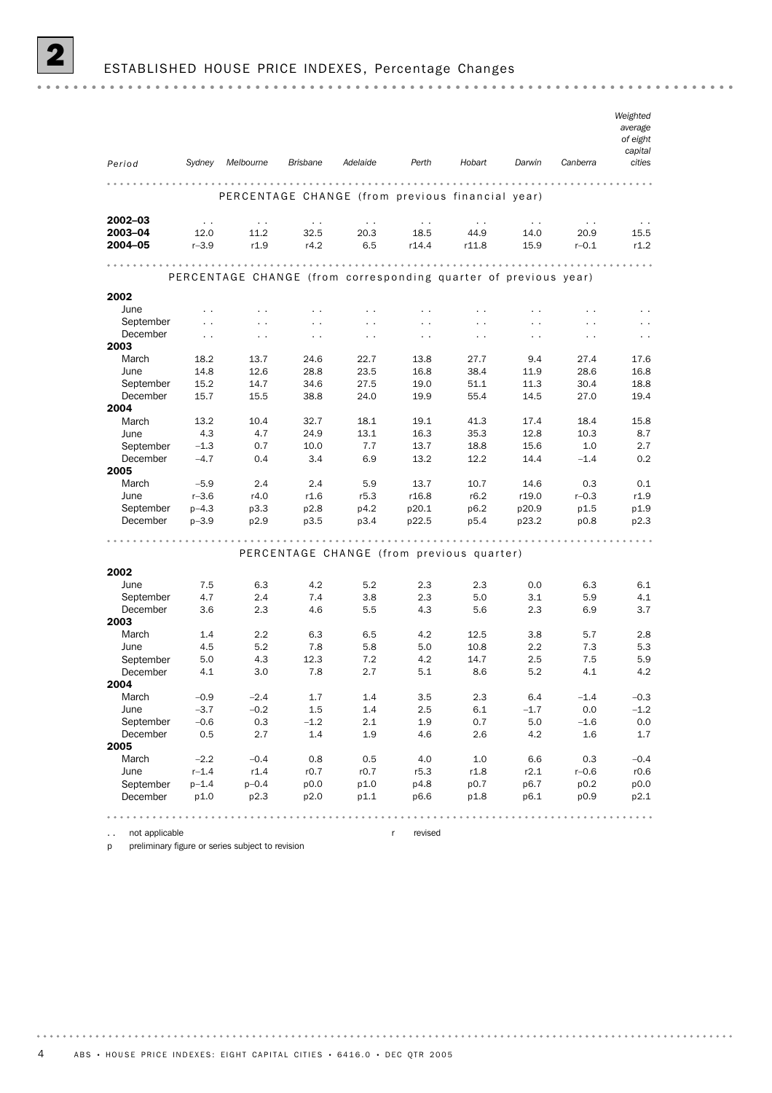## 2 ESTABLISHED HOUSE PRICE INDEXES, Percentage Changes

| Period                   | Sydney               | Melbourne                                                       | Brisbane             | Adelaide                                  | Perth                | Hobart               | Darwin               | Canberra             | Weighted<br>average<br>of eight<br>capital<br>cities |
|--------------------------|----------------------|-----------------------------------------------------------------|----------------------|-------------------------------------------|----------------------|----------------------|----------------------|----------------------|------------------------------------------------------|
|                          |                      |                                                                 |                      |                                           |                      |                      |                      |                      |                                                      |
|                          |                      | PERCENTAGE CHANGE (from previous financial year)                |                      |                                           |                      |                      |                      |                      |                                                      |
| $2002 - 03$              | $\ddot{\phantom{0}}$ | $\sim$ $\sim$                                                   | $\sim$ $\sim$        | $\sim$ $\sim$                             | $\sim$ $\sim$        | $\ddotsc$            | $\sim$ $\sim$        | $\sim$ $\sim$        | $\sim$ $\sim$                                        |
| 2003-04                  | 12.0                 | 11.2                                                            | 32.5                 | 20.3                                      | 18.5                 | 44.9                 | 14.0                 | 20.9                 | 15.5                                                 |
| 2004-05                  | $r - 3.9$            | r1.9                                                            | r4.2                 | 6.5                                       | r14.4                | r11.8                | 15.9                 | $r - 0.1$            | r1.2                                                 |
|                          |                      | PERCENTAGE CHANGE (from corresponding quarter of previous year) |                      |                                           |                      |                      |                      |                      |                                                      |
| 2002                     |                      |                                                                 |                      |                                           |                      |                      |                      |                      |                                                      |
| June                     | $\sim$               | $\ddot{\phantom{0}}$                                            | $\ddot{\phantom{1}}$ | $\sim$ $\sim$                             | $\ddotsc$            | $\ddotsc$            | $\sim$ $\sim$        | $\ddot{\phantom{0}}$ | $\ddotsc$                                            |
| September                | $\ddot{\phantom{0}}$ | $\ddot{\phantom{0}}$                                            | $\ddot{\phantom{0}}$ | $\sim$ $\sim$                             | $\ddot{\phantom{0}}$ | $\ddot{\phantom{a}}$ | $\ddot{\phantom{a}}$ | $\ddotsc$            |                                                      |
| December                 | $\ddot{\phantom{0}}$ | $\ddotsc$                                                       | $\ddot{\phantom{1}}$ | $\sim$ $\sim$                             | $\sim$               | $\sim$ $\sim$        | $\sim$ $\sim$        | . .                  | $\sim$                                               |
| 2003                     |                      |                                                                 |                      |                                           |                      |                      |                      |                      |                                                      |
| March                    | 18.2                 | 13.7                                                            | 24.6                 | 22.7                                      | 13.8                 | 27.7                 | 9.4                  | 27.4                 | 17.6                                                 |
| June                     | 14.8                 | 12.6                                                            | 28.8                 | 23.5                                      | 16.8                 | 38.4                 | 11.9                 | 28.6                 | 16.8                                                 |
| September                | 15.2                 | 14.7                                                            | 34.6                 | 27.5                                      | 19.0                 | 51.1                 | 11.3                 | 30.4                 | 18.8                                                 |
| December                 | 15.7                 | 15.5                                                            | 38.8                 | 24.0                                      | 19.9                 | 55.4                 | 14.5                 | 27.0                 | 19.4                                                 |
| 2004                     |                      |                                                                 |                      |                                           |                      |                      |                      |                      |                                                      |
| March                    | 13.2                 | 10.4                                                            | 32.7                 | 18.1                                      | 19.1                 | 41.3                 | 17.4                 | 18.4                 | 15.8                                                 |
| June                     | 4.3                  | 4.7                                                             | 24.9                 | 13.1                                      | 16.3                 | 35.3                 | 12.8                 | 10.3                 | 8.7                                                  |
| September                | $-1.3$               | 0.7                                                             | 10.0                 | 7.7                                       | 13.7                 | 18.8                 | 15.6                 | 1.0                  | 2.7                                                  |
| December                 | $-4.7$               | 0.4                                                             | 3.4                  | 6.9                                       | 13.2                 | 12.2                 | 14.4                 | $-1.4$               | 0.2                                                  |
| 2005                     |                      |                                                                 |                      |                                           |                      |                      |                      |                      |                                                      |
| March                    | $-5.9$               | 2.4                                                             | 2.4                  | 5.9                                       | 13.7                 | 10.7                 | 14.6                 | 0.3                  | 0.1                                                  |
| June                     | $r - 3.6$            | r4.0                                                            | r1.6                 | r5.3                                      | r16.8                | r6.2                 | r19.0                | $r - 0.3$            | r1.9                                                 |
| September                | $p - 4.3$            | p3.3                                                            | p2.8                 | p4.2                                      | p20.1                | p6.2                 | p20.9                | p1.5                 | p1.9                                                 |
| December                 | $p - 3.9$            | p2.9                                                            | p3.5                 | p3.4                                      | p22.5                | p5.4                 | p23.2                | p0.8                 | p2.3                                                 |
|                          |                      |                                                                 |                      | PERCENTAGE CHANGE (from previous quarter) |                      |                      |                      |                      |                                                      |
| 2002                     |                      |                                                                 |                      |                                           |                      |                      |                      |                      |                                                      |
| June                     | 7.5                  | 6.3                                                             | 4.2                  | 5.2                                       | 2.3                  | 2.3                  | 0.0                  | 6.3                  | 6.1                                                  |
| September                | 4.7                  | 2.4                                                             | 7.4                  | 3.8                                       | 2.3                  | 5.0                  | 3.1                  | 5.9                  | 4.1                                                  |
| December                 | 3.6                  | 2.3                                                             | 4.6                  | 5.5                                       | 4.3                  | 5.6                  | 2.3                  | 6.9                  | 3.7                                                  |
| 2003                     |                      |                                                                 |                      |                                           |                      |                      |                      |                      |                                                      |
| March                    | 1.4                  | 2.2                                                             | 6.3                  | 6.5                                       | 4.2                  | 12.5                 | 3.8                  | 5.7                  | 2.8                                                  |
| June                     | 4.5                  | 5.2                                                             | 7.8                  | 5.8                                       | 5.0                  | 10.8                 | 2.2                  | 7.3                  | 5.3                                                  |
| September                | 5.0                  | 4.3                                                             | 12.3                 | 7.2                                       | 4.2                  | 14.7                 | 2.5                  | 7.5                  | 5.9                                                  |
| December                 | 4.1                  | 3.0                                                             | 7.8                  | 2.7                                       | 5.1                  | 8.6                  | 5.2                  | 4.1                  | 4.2                                                  |
| 2004                     |                      |                                                                 |                      |                                           |                      |                      |                      |                      |                                                      |
| March                    | $-0.9$               | $-2.4$                                                          | 1.7                  | 1.4                                       | 3.5                  | 2.3                  | 6.4                  | $-1.4$               | $-0.3$                                               |
| June                     | $-3.7$               | $-0.2$                                                          | 1.5                  | 1.4                                       | 2.5                  | 6.1                  | $-1.7$               | 0.0                  | $-1.2$                                               |
| September                | $-0.6$               | 0.3                                                             | $-1.2$               | 2.1                                       | 1.9                  | 0.7                  | 5.0                  | $-1.6$               | 0.0                                                  |
| December                 | 0.5                  | 2.7                                                             | 1.4                  | 1.9                                       | 4.6                  | 2.6                  | 4.2                  | 1.6                  | 1.7                                                  |
| 2005                     |                      |                                                                 |                      |                                           |                      |                      |                      |                      |                                                      |
| March                    | $-2.2$               | $-0.4$                                                          | 0.8                  | 0.5                                       | 4.0                  | 1.0                  | 6.6                  | 0.3                  | $-0.4$                                               |
| June                     | $r - 1.4$            | r1.4                                                            | r0.7                 | r0.7                                      | r5.3                 | r1.8                 | r2.1                 | $r - 0.6$            | r0.6                                                 |
| September                | $p - 1.4$            | $p - 0.4$                                                       | p0.0                 | p1.0                                      | p4.8                 | p0.7                 | p6.7                 | p0.2                 | p0.0                                                 |
| December                 | p1.0                 | p2.3                                                            | p2.0                 | p1.1                                      | p6.6                 | p1.8                 | p6.1                 | p0.9                 | p2.1                                                 |
|                          |                      | .                                                               |                      |                                           |                      |                      |                      |                      |                                                      |
| not applicable<br>$\sim$ |                      |                                                                 |                      |                                           | revised<br>r         |                      |                      |                      |                                                      |

p preliminary figure or series subject to revision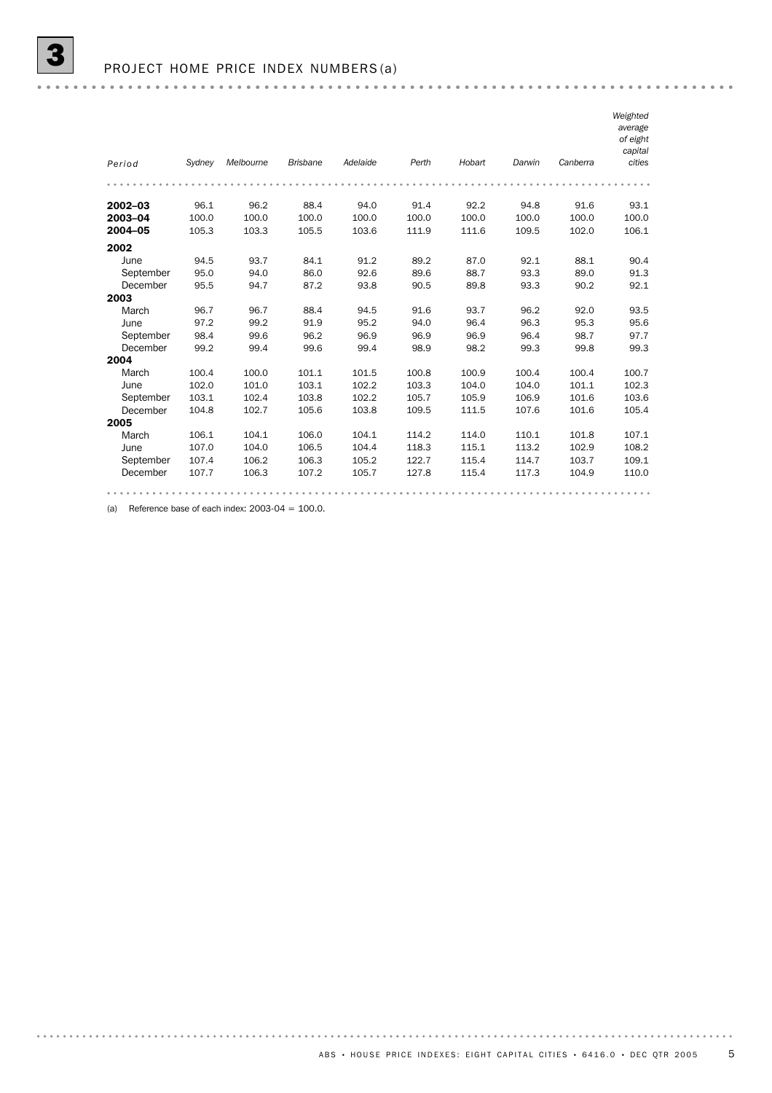|           |        |           |                 |          |       |        |        |          | Weighted<br>average<br>of eight<br>capital |
|-----------|--------|-----------|-----------------|----------|-------|--------|--------|----------|--------------------------------------------|
| Period    | Sydney | Melbourne | <b>Brisbane</b> | Adelaide | Perth | Hobart | Darwin | Canberra | cities                                     |
|           |        |           |                 |          |       |        |        |          |                                            |
| 2002-03   | 96.1   | 96.2      | 88.4            | 94.0     | 91.4  | 92.2   | 94.8   | 91.6     | 93.1                                       |
| 2003-04   | 100.0  | 100.0     | 100.0           | 100.0    | 100.0 | 100.0  | 100.0  | 100.0    | 100.0                                      |
| 2004-05   | 105.3  | 103.3     | 105.5           | 103.6    | 111.9 | 111.6  | 109.5  | 102.0    | 106.1                                      |
| 2002      |        |           |                 |          |       |        |        |          |                                            |
| June      | 94.5   | 93.7      | 84.1            | 91.2     | 89.2  | 87.0   | 92.1   | 88.1     | 90.4                                       |
| September | 95.0   | 94.0      | 86.0            | 92.6     | 89.6  | 88.7   | 93.3   | 89.0     | 91.3                                       |
| December  | 95.5   | 94.7      | 87.2            | 93.8     | 90.5  | 89.8   | 93.3   | 90.2     | 92.1                                       |
| 2003      |        |           |                 |          |       |        |        |          |                                            |
| March     | 96.7   | 96.7      | 88.4            | 94.5     | 91.6  | 93.7   | 96.2   | 92.0     | 93.5                                       |
| June      | 97.2   | 99.2      | 91.9            | 95.2     | 94.0  | 96.4   | 96.3   | 95.3     | 95.6                                       |
| September | 98.4   | 99.6      | 96.2            | 96.9     | 96.9  | 96.9   | 96.4   | 98.7     | 97.7                                       |
| December  | 99.2   | 99.4      | 99.6            | 99.4     | 98.9  | 98.2   | 99.3   | 99.8     | 99.3                                       |
| 2004      |        |           |                 |          |       |        |        |          |                                            |
| March     | 100.4  | 100.0     | 101.1           | 101.5    | 100.8 | 100.9  | 100.4  | 100.4    | 100.7                                      |
| June      | 102.0  | 101.0     | 103.1           | 102.2    | 103.3 | 104.0  | 104.0  | 101.1    | 102.3                                      |
| September | 103.1  | 102.4     | 103.8           | 102.2    | 105.7 | 105.9  | 106.9  | 101.6    | 103.6                                      |
| December  | 104.8  | 102.7     | 105.6           | 103.8    | 109.5 | 111.5  | 107.6  | 101.6    | 105.4                                      |
| 2005      |        |           |                 |          |       |        |        |          |                                            |
| March     | 106.1  | 104.1     | 106.0           | 104.1    | 114.2 | 114.0  | 110.1  | 101.8    | 107.1                                      |
| June      | 107.0  | 104.0     | 106.5           | 104.4    | 118.3 | 115.1  | 113.2  | 102.9    | 108.2                                      |
| September | 107.4  | 106.2     | 106.3           | 105.2    | 122.7 | 115.4  | 114.7  | 103.7    | 109.1                                      |
| December  | 107.7  | 106.3     | 107.2           | 105.7    | 127.8 | 115.4  | 117.3  | 104.9    | 110.0                                      |
|           |        |           |                 |          |       |        |        |          |                                            |

(a) Reference base of each index:  $2003-04 = 100.0$ .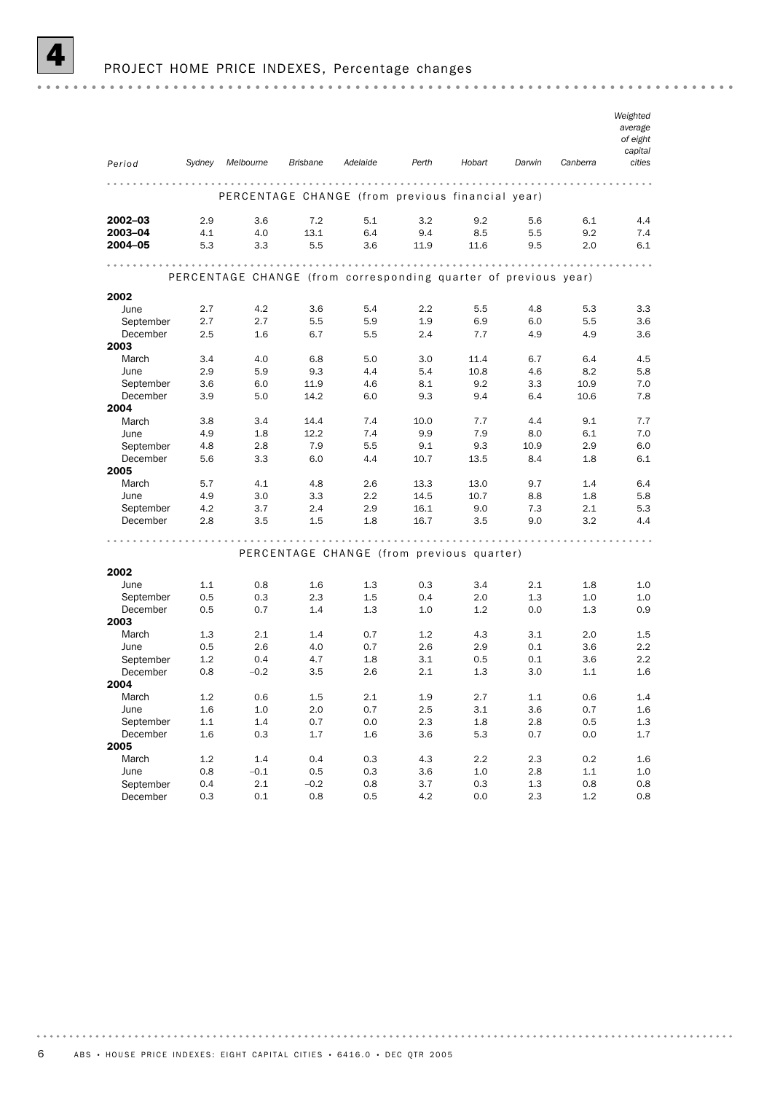

### PROJECT HOME PRICE INDEXES, Percentage changes

| Period      | Sydney  | Melbourne                                                       | Brisbane | Adelaide                                  | Perth         | Hobart  | Darwin  | Canberra | Weighted<br>average<br>of eight<br>capital<br>cities |
|-------------|---------|-----------------------------------------------------------------|----------|-------------------------------------------|---------------|---------|---------|----------|------------------------------------------------------|
|             |         |                                                                 |          |                                           | .             |         | .       |          |                                                      |
|             |         | PERCENTAGE CHANGE (from previous financial year)                |          |                                           |               |         |         |          |                                                      |
| $2002 - 03$ | 2.9     | 3.6                                                             | 7.2      | 5.1                                       | 3.2           | 9.2     | 5.6     | 6.1      | 4.4                                                  |
| 2003-04     | 4.1     | 4.0                                                             | 13.1     | 6.4                                       | 9.4           | 8.5     | 5.5     | 9.2      | 7.4                                                  |
| 2004-05     | 5.3     | 3.3                                                             | 5.5      | 3.6                                       | 11.9          | 11.6    | 9.5     | 2.0      | 6.1                                                  |
|             |         |                                                                 |          |                                           |               |         |         |          |                                                      |
|             |         | PERCENTAGE CHANGE (from corresponding quarter of previous year) |          |                                           |               |         |         |          |                                                      |
| 2002        |         |                                                                 |          |                                           |               |         |         |          |                                                      |
| June        | 2.7     | 4.2                                                             | 3.6      | 5.4                                       | 2.2           | 5.5     | 4.8     | 5.3      | 3.3                                                  |
| September   | 2.7     | 2.7                                                             | 5.5      | 5.9                                       | 1.9           | 6.9     | 6.0     | 5.5      | 3.6                                                  |
| December    | 2.5     | 1.6                                                             | 6.7      | 5.5                                       | 2.4           | 7.7     | 4.9     | 4.9      | 3.6                                                  |
| 2003        |         |                                                                 |          |                                           |               |         |         |          |                                                      |
| March       | 3.4     | 4.0                                                             | 6.8      | 5.0                                       | 3.0           | 11.4    | 6.7     | 6.4      | 4.5                                                  |
| June        | 2.9     | 5.9                                                             | 9.3      | 4.4                                       | 5.4           | 10.8    | 4.6     | 8.2      | 5.8                                                  |
| September   | 3.6     | 6.0                                                             | 11.9     | 4.6                                       | 8.1           | 9.2     | 3.3     | 10.9     | 7.0                                                  |
| December    | 3.9     | 5.0                                                             | 14.2     | 6.0                                       | 9.3           | 9.4     | 6.4     | 10.6     | 7.8                                                  |
| 2004        |         |                                                                 |          |                                           |               |         |         |          |                                                      |
| March       | 3.8     | 3.4                                                             | 14.4     | 7.4                                       | 10.0          | 7.7     | 4.4     | 9.1      | 7.7                                                  |
| June        | 4.9     | 1.8                                                             | 12.2     | 7.4                                       | 9.9           | 7.9     | 8.0     | 6.1      | 7.0                                                  |
| September   | 4.8     | 2.8                                                             | 7.9      | 5.5                                       | 9.1           | 9.3     | 10.9    | 2.9      | 6.0                                                  |
| December    | 5.6     | 3.3                                                             | 6.0      | 4.4                                       | 10.7          | 13.5    | 8.4     | 1.8      | 6.1                                                  |
| 2005        |         |                                                                 |          |                                           |               |         |         |          |                                                      |
| March       | 5.7     | 4.1                                                             | 4.8      | 2.6                                       | 13.3          | 13.0    | 9.7     | 1.4      | 6.4                                                  |
| June        | 4.9     | 3.0                                                             | 3.3      | $2.2\phantom{0}$                          | 14.5          | 10.7    | 8.8     | 1.8      | 5.8                                                  |
| September   | 4.2     | 3.7                                                             | 2.4      | 2.9                                       | 16.1          | 9.0     | 7.3     | 2.1      | 5.3                                                  |
| December    | 2.8     | 3.5                                                             | 1.5      | 1.8                                       | 16.7          | 3.5     | 9.0     | 3.2      | 4.4                                                  |
|             |         |                                                                 |          |                                           | <b>AAAAAA</b> |         |         |          |                                                      |
|             |         |                                                                 |          | PERCENTAGE CHANGE (from previous quarter) |               |         |         |          |                                                      |
| 2002        |         |                                                                 |          |                                           |               |         |         |          |                                                      |
| June        | 1.1     | 0.8                                                             | 1.6      | 1.3                                       | 0.3           | 3.4     | 2.1     | 1.8      | 1.0                                                  |
| September   | 0.5     | 0.3                                                             | 2.3      | 1.5                                       | 0.4           | 2.0     | 1.3     | 1.0      | 1.0                                                  |
| December    | 0.5     | 0.7                                                             | 1.4      | 1.3                                       | 1.0           | 1.2     | 0.0     | 1.3      | 0.9                                                  |
| 2003        |         |                                                                 |          |                                           |               |         |         |          |                                                      |
| March       | 1.3     | 2.1                                                             | 1.4      | 0.7                                       | 1.2           | 4.3     | 3.1     | 2.0      | 1.5                                                  |
| June        | 0.5     | 2.6                                                             | 4.0      | 0.7                                       | 2.6           | 2.9     | 0.1     | 3.6      | 2.2                                                  |
| September   | 1.2     | 0.4                                                             | 4.7      | 1.8                                       | 3.1           | 0.5     | 0.1     | 3.6      | 2.2                                                  |
| December    | 0.8     | $-0.2$                                                          | 3.5      | 2.6                                       | 2.1           | 1.3     | 3.0     | 1.1      | 1.6                                                  |
| 2004        |         |                                                                 |          |                                           |               |         |         |          |                                                      |
| March       | $1.2\,$ | 0.6                                                             | $1.5\,$  | $2.1\,$                                   | 1.9           | 2.7     | $1.1\,$ | 0.6      | 1.4                                                  |
| June        | $1.6\,$ | 1.0                                                             | 2.0      | 0.7                                       | $2.5\,$       | 3.1     | 3.6     | 0.7      | 1.6                                                  |
| September   | 1.1     | 1.4                                                             | 0.7      | $0.0\,$                                   | 2.3           | 1.8     | $2.8\,$ | $0.5\,$  | 1.3                                                  |
| December    | 1.6     | 0.3                                                             | 1.7      | 1.6                                       | 3.6           | 5.3     | 0.7     | $0.0\,$  | 1.7                                                  |
| 2005        |         |                                                                 |          |                                           |               |         |         |          |                                                      |
| March       | $1.2\,$ | 1.4                                                             | 0.4      | $0.3\,$                                   | 4.3           | 2.2     | 2.3     | 0.2      | $1.6\,$                                              |
| June        | $0.8\,$ | $-0.1$                                                          | 0.5      | $0.3\,$                                   | 3.6           | $1.0\,$ | 2.8     | $1.1\,$  | 1.0                                                  |
| September   | 0.4     | 2.1                                                             | $-0.2$   | 0.8                                       | 3.7           | 0.3     | 1.3     | $0.8\,$  | 0.8                                                  |
| December    | 0.3     | 0.1                                                             | 0.8      | 0.5                                       | 4.2           | 0.0     | 2.3     | $1.2\,$  | 0.8                                                  |
|             |         |                                                                 |          |                                           |               |         |         |          |                                                      |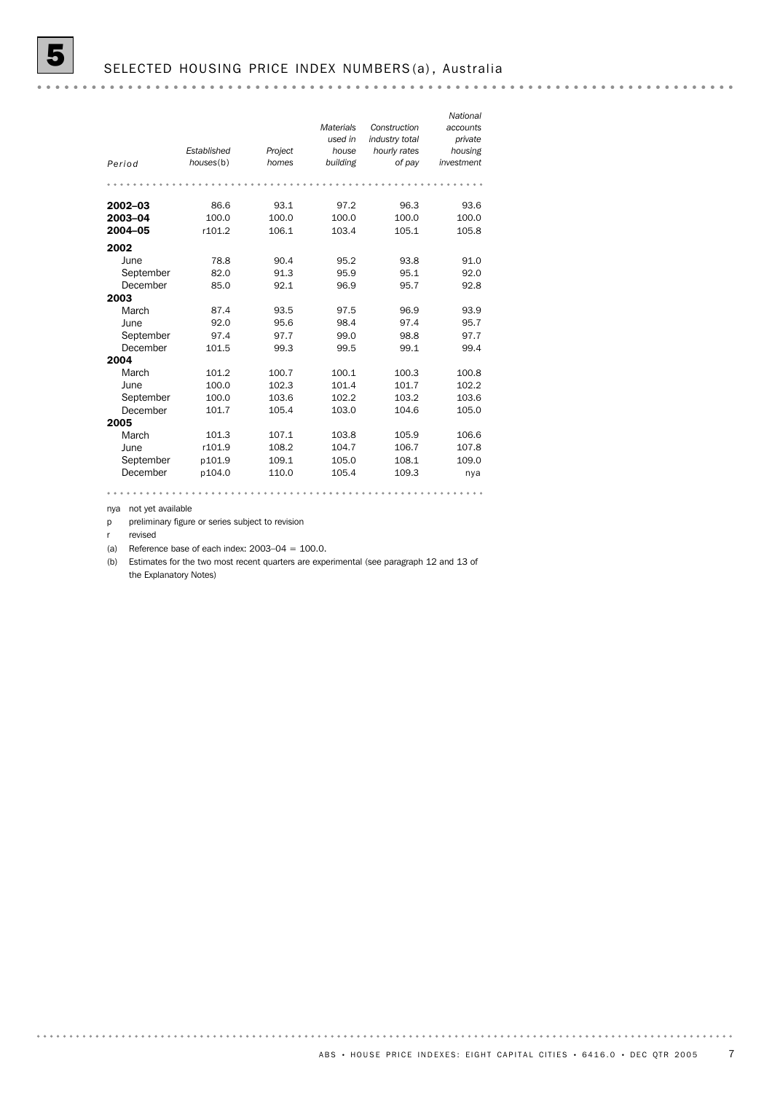|           |             |         |                  |                | National   |
|-----------|-------------|---------|------------------|----------------|------------|
|           |             |         | <b>Materials</b> | Construction   | accounts   |
|           |             |         | used in          | industry total | private    |
|           | Established | Project | house            | hourly rates   | housing    |
| Period    | houses(b)   | homes   | building         | of pay         | investment |
|           |             |         |                  |                |            |
|           |             |         |                  |                |            |
| 2002-03   | 86.6        | 93.1    | 97.2             | 96.3           | 93.6       |
| 2003-04   | 100.0       | 100.0   | 100.0            | 100.0          | 100.0      |
| 2004-05   | r101.2      | 106.1   | 103.4            | 105.1          | 105.8      |
| 2002      |             |         |                  |                |            |
| June      | 78.8        | 90.4    | 95.2             | 93.8           | 91.0       |
| September | 82.0        | 91.3    | 95.9             | 95.1           | 92.0       |
| December  | 85.0        | 92.1    | 96.9             | 95.7           | 92.8       |
| 2003      |             |         |                  |                |            |
| March     | 87.4        | 93.5    | 97.5             | 96.9           | 93.9       |
| June      | 92.0        | 95.6    | 98.4             | 97.4           | 95.7       |
| September | 97.4        | 97.7    | 99.0             | 98.8           | 97.7       |
| December  | 101.5       | 99.3    | 99.5             | 99.1           | 99.4       |
| 2004      |             |         |                  |                |            |
| March     | 101.2       | 100.7   | 100.1            | 100.3          | 100.8      |
| June      | 100.0       | 102.3   | 101.4            | 101.7          | 102.2      |
| September | 100.0       | 103.6   | 102.2            | 103.2          | 103.6      |
| December  | 101.7       | 105.4   | 103.0            | 104.6          | 105.0      |
| 2005      |             |         |                  |                |            |
| March     | 101.3       | 107.1   | 103.8            | 105.9          | 106.6      |
| June      | r101.9      | 108.2   | 104.7            | 106.7          | 107.8      |
| September | p101.9      | 109.1   | 105.0            | 108.1          | 109.0      |
| December  | p104.0      | 110.0   | 105.4            | 109.3          | nya        |

nya not yet available

p preliminary figure or series subject to revision

r revised

(a) Reference base of each index:  $2003-04 = 100.0$ .

(b) Estimates for the two most recent quarters are experimental (see paragraph 12 and 13 of the Explanatory Notes)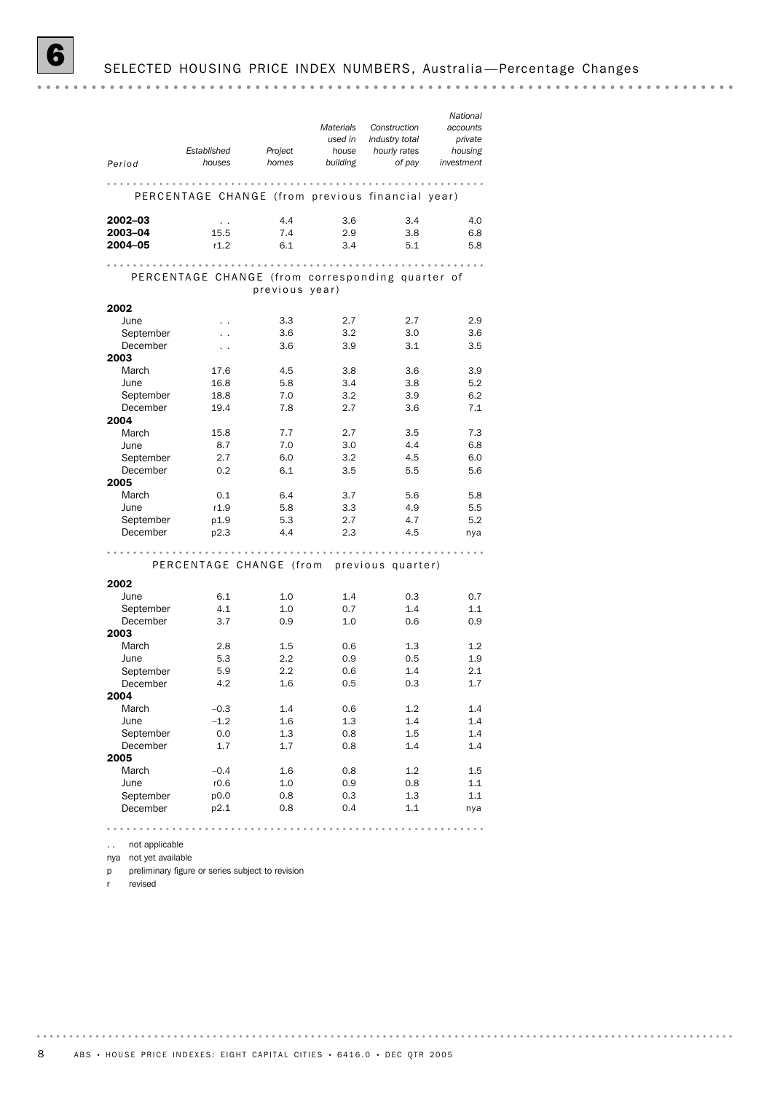*National Construction Materials accounts industry total used in private Established Project house hourly rates housing Period houses homes building of pay investment* PERCENTAGE CHANGE (from previous financial year) **2002–03** . . . 4.4 3.6 3.4 4.0 2003–04 15.5 7.4 2.9 3.8 6.8 2004–05 r1.2 6.1 3.4 5.1 5.8 PERCENTAGE CHANGE (from corresponding quarter of previous year) 2002 June . . 3.3 2.7 2.7 2.9 September . . 3.6 3.2 3.0 3.6 December . . 3.6 3.9 3.1 3.5 2003 March 17.6 4.5 3.8 3.6 3.9 June 16.8 5.8 3.4 3.8 5.2 September 18.8 7.0 3.2 3.9 6.2 December 19.4 7.8 2.7 3.6 7.1 2004 March 15.8 7.7 2.7 3.5 7.3 dune 8.7 7.0 3.0 4.4 6.8<br>September 2.7 6.0 3.2 4.5 6.0 dune 8.7 7.0 3.0 4.4 6.8<br>September 2.7 6.0 3.2 4.5 6.0 December 0.2 6.1 3.5 5.5 5.6 2005 March 0.1 6.4 3.7 5.6 5.8 June r1.9 5.8 3.3 4.9 5.5 September p1.9 5.3 2.7 4.7 5.2 December p2.3 4.4 2.3 4.5 nya PERCENTAGE CHANGE (from previous quarter) 2002 June 6.1 1.0 1.4 0.3 0.7 September 4.1 1.0 0.7 1.4 1.1 December 3.7 0.9 1.0 0.6 0.9 2003 March 2.8 1.5 0.6 1.3 1.2 June 5.3 2.2 0.9 0.5 1.9 September 5.9 2.2 0.6 1.4 2.1<br>December 4.2 1.6 0.5 0.3 1.7 September 5.9 2.2 0.6 1.4 2.1 2004 March –0.3 1.4 0.6 1.2 1.4 June –1.2 1.6 1.3 1.4 1.4 September 2.0 1.3 2.6 1.5 1.4 December 1.7 1.7 0.8 1.4 1.4 2005 March –0.4 1.6 0.8 1.2 1.5 Vidition<br>June r0.6 1.0 0.9 0.8 1.1 September p0.0 0.8 0.3 1.3 1.1 December p2.1 0.8 0.4 1.1 nya

.. not applicable nya not yet available

p preliminary figure or series subject to revision

r revised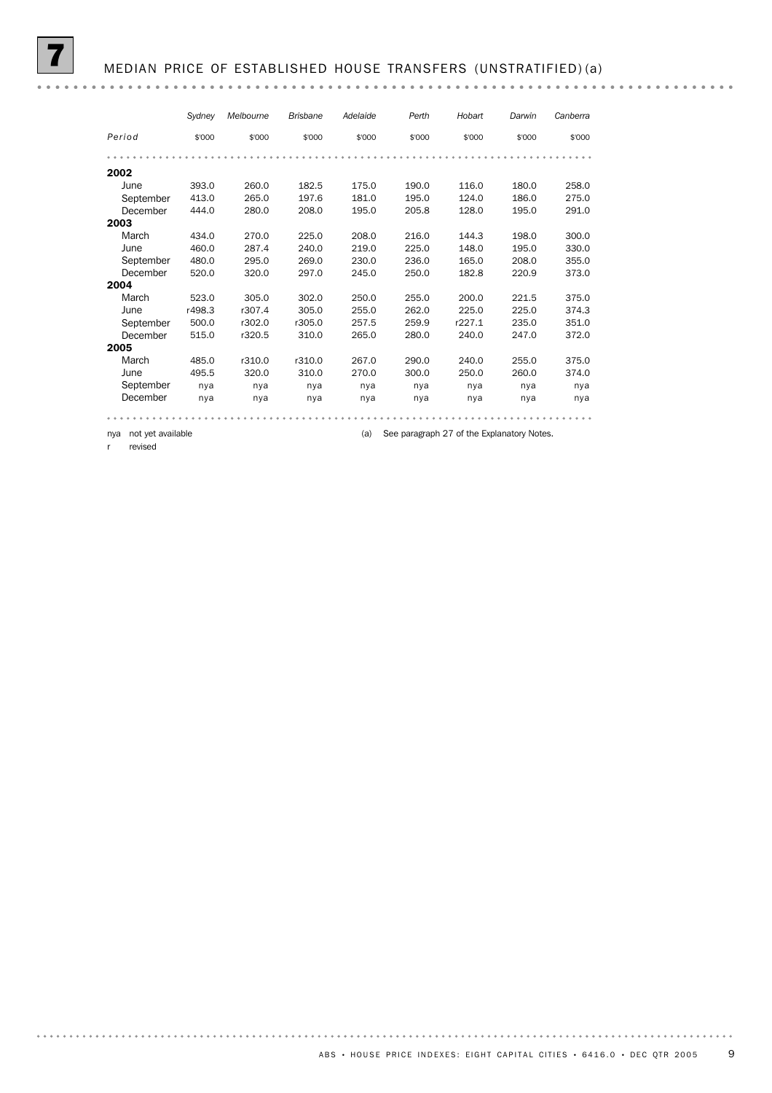*Sydney Melbourne Brisbane Adelaide Perth Hobart Darwin Canberra Period* \$'000 \$'000 \$'000 \$'000 \$'000 \$'000 \$'000 \$'000 2002 June 393.0 260.0 182.5 175.0 190.0 116.0 180.0 258.0 September 413.0 265.0 197.6 197.0 198.0 195.0 10.0 100.0 298.0<br>September 413.0 265.0 197.6 181.0 195.0 124.0 186.0 275.0 December 444.0 280.0 208.0 195.0 205.8 128.0 195.0 291.0 2003 March 434.0 270.0 225.0 208.0 216.0 144.3 198.0 300.0 June 460.0 287.4 240.0 219.0 225.0 148.0 195.0 330.0 September 480.0 295.0 269.0 230.0 236.0 165.0 208.0 355.0 December 520.0 320.0 297.0 245.0 250.0 182.8 220.9 373.0 2004 March 523.0 305.0 302.0 250.0 255.0 200.0 221.5 375.0 June r498.3 r307.4 305.0 255.0 262.0 225.0 225.0 374.3 September 500.0 r302.0 r305.0 257.5 259.9 r227.1 235.0 351.0 December 515.0 r320.5 310.0 265.0 280.0 240.0 247.0 372.0 2005 March 485.0 r310.0 r310.0 267.0 290.0 240.0 255.0 375.0 June 495.5 320.0 310.0 270.0 300.0 250.0 260.0 374.0 September nya nya nya nya nya nya nya nya<br>December nya nya nya nya nya nya nya nya nya December nya nya nya nya nya nya nya nya 

nya not yet available (a) See paragraph 27 of the Explanatory Notes.

r revised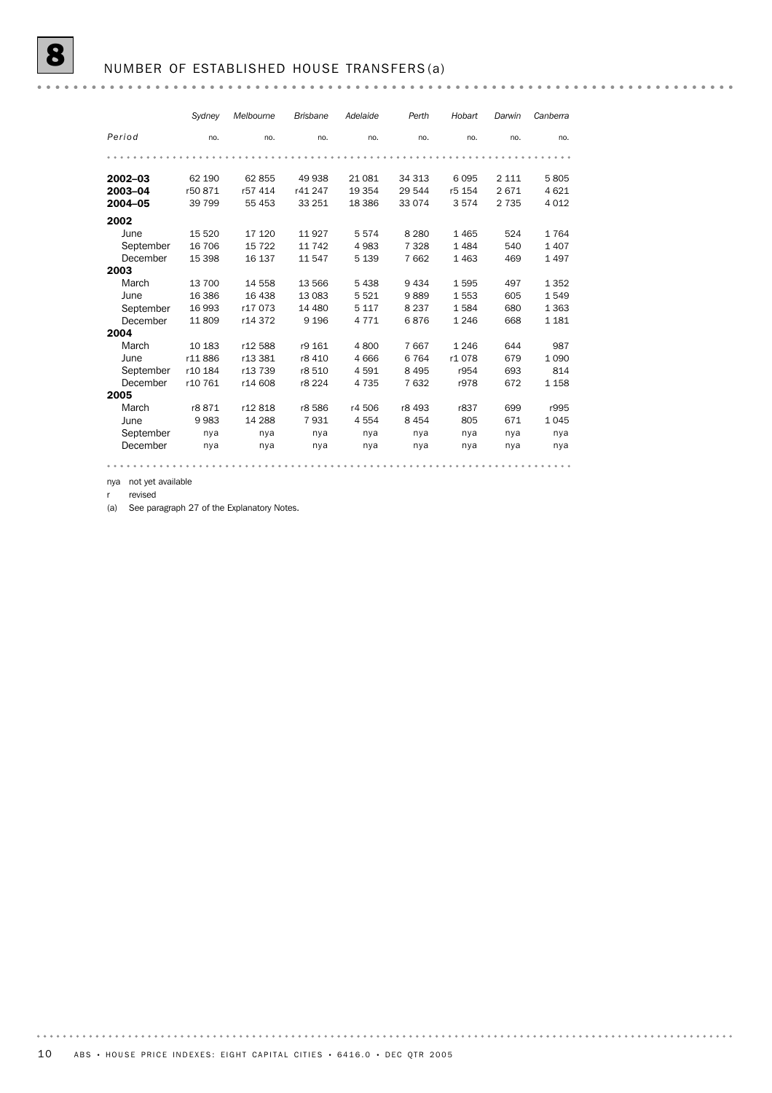#### NUMBER OF ESTABLISHED HOUSE TRANSFERS (a)

*Sydney Melbourne Brisbane Adelaide Perth Hobart Darwin Canberra Period* no. no. no. no. no. no. no. no. 2002–03 62 190 62 855 49 938 21 081 34 313 6 095 2 111 5 805 2003–04 r50 871 r57 414 r41 247 19 354 29 544 r5 154 2 671 4 621 2004–05 39 799 55 453 33 251 18 386 33 074 3 574 2 735 4 012 2002<br>June June 15 520 17 120 11 927 5 574 8 280 1 465 524 1 764 September 16 706 15 722 11 742 4 983 7 328 1 484 540 1 407 December 15 398 16 137 11 547 5 139 7 662 1 463 469 1 497 2003 March 13 700 14 558 13 566 5 438 9 434 1 595 497 1 352 June 16 386 16 438 13 083 5 521 9 889 1 553 605 1 549 September 16 993 r17 073 14 480 5 117 8 237 1 584 680 1 363 December 11 809 r14 372 9 196 4 771 6 876 1 246 668 1 181 2004 March 10 183 r12 588 r9 161 4 800 7 667 1 246 644 987<br>
June r11 886 r13 381 r8 410 4 666 6 764 r1 078 679 1 090<br>
September r10 184 r13 739 r8 510 4 591 8 495 r954 693 814 dune r11 886 r13 381 r8 410 4 000 0 104 11 contract contract contract contract contract contract contract contra<br>December r10 761 r14 608 r8 224 4 735 7 632 r978 672 1 158 June r11 886 r13 381 r8 410 4 666 6 764 r1 078 679 1 090 September r10 184 r13 739 r8 510 4 591 8 495 r954 693 814 2005<br>March March r8 871 r12 818 r8 586 r4 506 r8 493 r837 699 r995 June 9 983 14 288 7 931 4 554 8 454 805 671 1 045 September nya nya nya nya nya nya nya nya December nya nya nya nya nya nya nya nya 

nya not yet available

revised

(a) See paragraph 27 of the Explanatory Notes.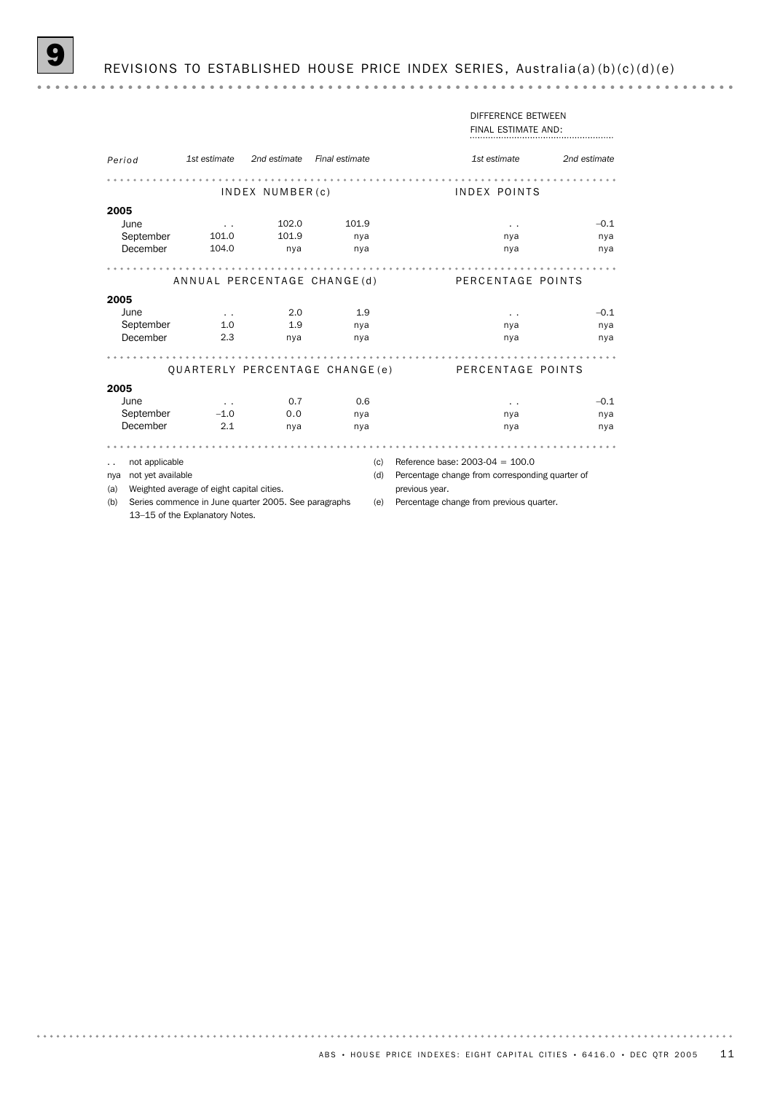|          |                                           |                      |                                                      |                |     | DIFFERENCE BETWEEN                              |              |
|----------|-------------------------------------------|----------------------|------------------------------------------------------|----------------|-----|-------------------------------------------------|--------------|
|          |                                           |                      |                                                      |                |     | FINAL ESTIMATE AND:                             |              |
|          |                                           |                      |                                                      |                |     |                                                 |              |
| Period   |                                           | 1st estimate         | 2nd estimate                                         | Final estimate |     | 1st estimate                                    | 2nd estimate |
|          |                                           |                      |                                                      |                |     |                                                 |              |
|          |                                           |                      | $INDEX$ NUMBER $(c)$                                 |                |     | INDEX POINTS                                    |              |
| 2005     |                                           |                      |                                                      |                |     |                                                 |              |
| June     |                                           | $\ddot{\phantom{0}}$ | 102.0                                                | 101.9          |     | $\ddot{\phantom{1}}$                            | $-0.1$       |
|          | September                                 | 101.0                | 101.9                                                | nya            |     | nya                                             | nya          |
| December |                                           | 104.0                | nya                                                  | nya            |     | nya                                             | nya          |
|          |                                           |                      |                                                      |                |     |                                                 |              |
|          |                                           |                      | ANNUAL PERCENTAGE CHANGE(d)                          |                |     | PERCENTAGE POINTS                               |              |
| 2005     |                                           |                      |                                                      |                |     |                                                 |              |
| June     |                                           | $\sim$ $\sim$        | 2.0                                                  | 1.9            |     | $\ddot{\phantom{1}}$                            | $-0.1$       |
|          | September                                 | 1.0                  | 1.9                                                  | nya            |     | nya                                             | nya          |
| December |                                           | 2.3                  | nya                                                  | nya            |     | nya                                             | nya          |
|          |                                           |                      |                                                      |                |     |                                                 |              |
|          |                                           |                      | QUARTERLY PERCENTAGE CHANGE(e)                       |                |     | PERCENTAGE POINTS                               |              |
| 2005     |                                           |                      |                                                      |                |     |                                                 |              |
| June     |                                           | $\ddot{\phantom{a}}$ | 0.7                                                  | 0.6            |     | $\ddot{\phantom{1}}$                            | $-0.1$       |
|          | September                                 | $-1.0$               | 0.0                                                  | nya            |     | nya                                             | nya          |
| December |                                           | 2.1                  | nya                                                  | nya            |     | nya                                             | nya          |
|          |                                           |                      |                                                      |                |     |                                                 |              |
|          | not applicable                            |                      |                                                      |                | (c) | Reference base: $2003-04 = 100.0$               |              |
| nya      | not yet available                         |                      |                                                      |                | (d) | Percentage change from corresponding quarter of |              |
| (a)      | Weighted average of eight capital cities. |                      |                                                      |                |     | previous year.                                  |              |
| (b)      |                                           |                      | Series commence in June quarter 2005. See paragraphs |                | (e) | Percentage change from previous quarter.        |              |
|          | 13-15 of the Explanatory Notes.           |                      |                                                      |                |     |                                                 |              |

ABS • HOUSE PRICE INDEXES: EIGHT CAPITAL CITIES • 6416.0 • DEC QTR 2005 11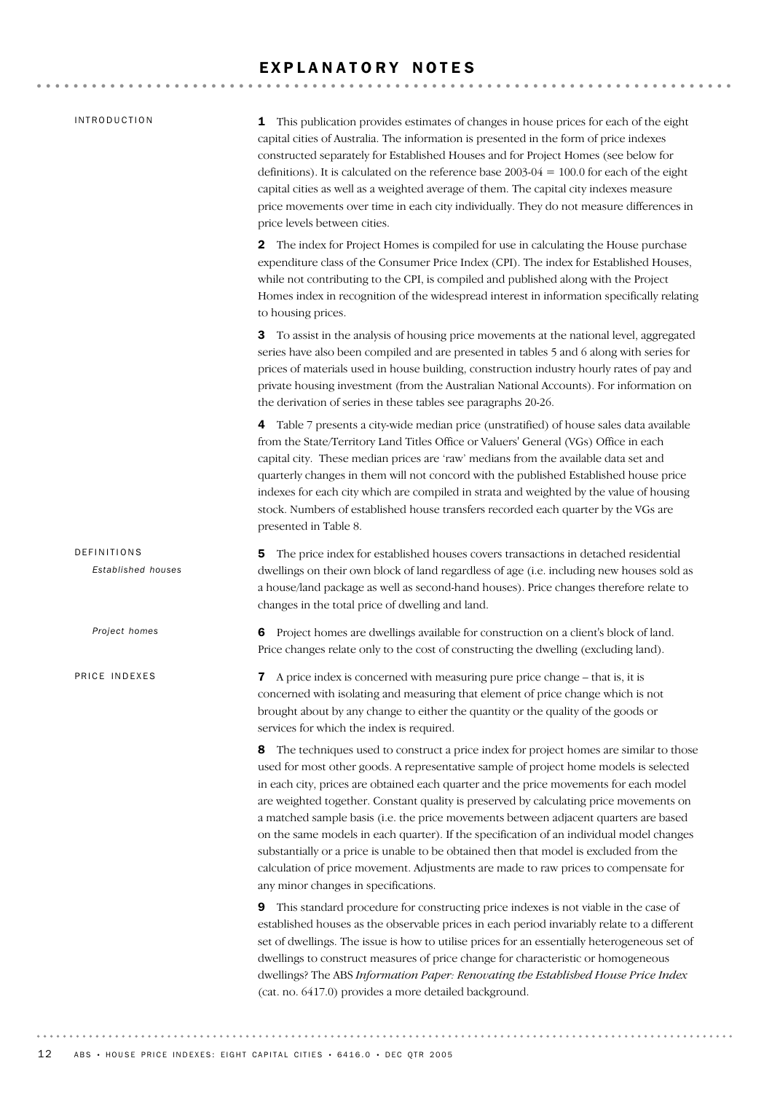### EXPLANATORY NOTES

| <i><b>INTRODUCTION</b></i>        | This publication provides estimates of changes in house prices for each of the eight<br>1<br>capital cities of Australia. The information is presented in the form of price indexes<br>constructed separately for Established Houses and for Project Homes (see below for<br>definitions). It is calculated on the reference base $2003-04 = 100.0$ for each of the eight<br>capital cities as well as a weighted average of them. The capital city indexes measure<br>price movements over time in each city individually. They do not measure differences in<br>price levels between cities.                                                                                                                                                                                      |
|-----------------------------------|-------------------------------------------------------------------------------------------------------------------------------------------------------------------------------------------------------------------------------------------------------------------------------------------------------------------------------------------------------------------------------------------------------------------------------------------------------------------------------------------------------------------------------------------------------------------------------------------------------------------------------------------------------------------------------------------------------------------------------------------------------------------------------------|
|                                   | The index for Project Homes is compiled for use in calculating the House purchase<br>$\mathbf{2}^{\prime}$<br>expenditure class of the Consumer Price Index (CPI). The index for Established Houses,<br>while not contributing to the CPI, is compiled and published along with the Project<br>Homes index in recognition of the widespread interest in information specifically relating<br>to housing prices.                                                                                                                                                                                                                                                                                                                                                                     |
|                                   | To assist in the analysis of housing price movements at the national level, aggregated<br>З<br>series have also been compiled and are presented in tables 5 and 6 along with series for<br>prices of materials used in house building, construction industry hourly rates of pay and<br>private housing investment (from the Australian National Accounts). For information on<br>the derivation of series in these tables see paragraphs 20-26.                                                                                                                                                                                                                                                                                                                                    |
|                                   | 4 Table 7 presents a city-wide median price (unstratified) of house sales data available<br>from the State/Territory Land Titles Office or Valuers' General (VGs) Office in each<br>capital city. These median prices are 'raw' medians from the available data set and<br>quarterly changes in them will not concord with the published Established house price<br>indexes for each city which are compiled in strata and weighted by the value of housing<br>stock. Numbers of established house transfers recorded each quarter by the VGs are<br>presented in Table 8.                                                                                                                                                                                                          |
| DEFINITIONS<br>Established houses | The price index for established houses covers transactions in detached residential<br>5<br>dwellings on their own block of land regardless of age (i.e. including new houses sold as<br>a house/land package as well as second-hand houses). Price changes therefore relate to<br>changes in the total price of dwelling and land.                                                                                                                                                                                                                                                                                                                                                                                                                                                  |
| Project homes                     | Project homes are dwellings available for construction on a client's block of land.<br>6<br>Price changes relate only to the cost of constructing the dwelling (excluding land).                                                                                                                                                                                                                                                                                                                                                                                                                                                                                                                                                                                                    |
| PRICE INDEXES                     | A price index is concerned with measuring pure price change – that is, it is<br>7<br>concerned with isolating and measuring that element of price change which is not<br>brought about by any change to either the quantity or the quality of the goods or<br>services for which the index is required.                                                                                                                                                                                                                                                                                                                                                                                                                                                                             |
|                                   | The techniques used to construct a price index for project homes are similar to those<br>8<br>used for most other goods. A representative sample of project home models is selected<br>in each city, prices are obtained each quarter and the price movements for each model<br>are weighted together. Constant quality is preserved by calculating price movements on<br>a matched sample basis (i.e. the price movements between adjacent quarters are based<br>on the same models in each quarter). If the specification of an individual model changes<br>substantially or a price is unable to be obtained then that model is excluded from the<br>calculation of price movement. Adjustments are made to raw prices to compensate for<br>any minor changes in specifications. |
|                                   | This standard procedure for constructing price indexes is not viable in the case of<br>9<br>established houses as the observable prices in each period invariably relate to a different<br>set of dwellings. The issue is how to utilise prices for an essentially heterogeneous set of<br>dwellings to construct measures of price change for characteristic or homogeneous<br>dwellings? The ABS Information Paper: Renovating the Established House Price Index<br>(cat. no. 6417.0) provides a more detailed background.                                                                                                                                                                                                                                                        |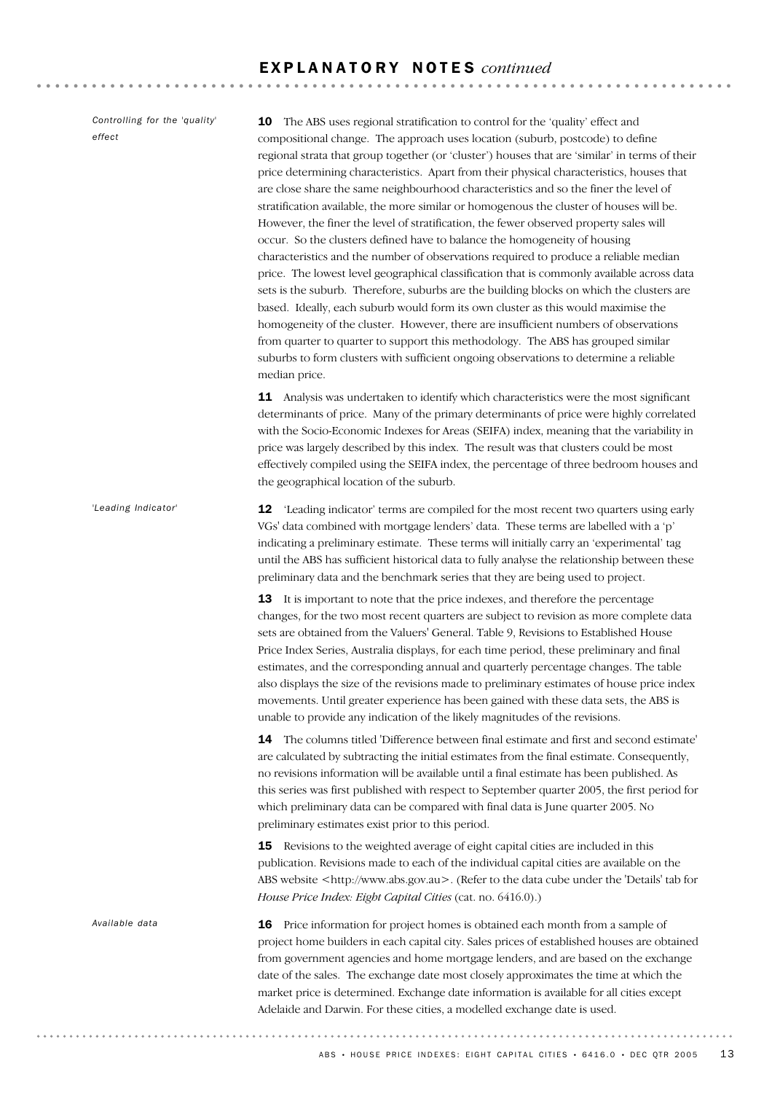*Controlling for the 'quality' effect*

10 The ABS uses regional stratification to control for the 'quality' effect and compositional change. The approach uses location (suburb, postcode) to define regional strata that group together (or 'cluster') houses that are 'similar' in terms of their price determining characteristics. Apart from their physical characteristics, houses that are close share the same neighbourhood characteristics and so the finer the level of stratification available, the more similar or homogenous the cluster of houses will be. However, the finer the level of stratification, the fewer observed property sales will occur. So the clusters defined have to balance the homogeneity of housing characteristics and the number of observations required to produce a reliable median price. The lowest level geographical classification that is commonly available across data sets is the suburb. Therefore, suburbs are the building blocks on which the clusters are based. Ideally, each suburb would form its own cluster as this would maximise the homogeneity of the cluster. However, there are insufficient numbers of observations from quarter to quarter to support this methodology. The ABS has grouped similar suburbs to form clusters with sufficient ongoing observations to determine a reliable median price.

11 Analysis was undertaken to identify which characteristics were the most significant determinants of price. Many of the primary determinants of price were highly correlated with the Socio-Economic Indexes for Areas (SEIFA) index, meaning that the variability in price was largely described by this index. The result was that clusters could be most effectively compiled using the SEIFA index, the percentage of three bedroom houses and the geographical location of the suburb.

12 'Leading indicator' terms are compiled for the most recent two quarters using early VGs' data combined with mortgage lenders' data. These terms are labelled with a 'p' indicating a preliminary estimate. These terms will initially carry an 'experimental' tag until the ABS has sufficient historical data to fully analyse the relationship between these preliminary data and the benchmark series that they are being used to project. *'Leading Indicator'*

> 13 It is important to note that the price indexes, and therefore the percentage changes, for the two most recent quarters are subject to revision as more complete data sets are obtained from the Valuers' General. Table 9, Revisions to Established House Price Index Series, Australia displays, for each time period, these preliminary and final estimates, and the corresponding annual and quarterly percentage changes. The table also displays the size of the revisions made to preliminary estimates of house price index movements. Until greater experience has been gained with these data sets, the ABS is unable to provide any indication of the likely magnitudes of the revisions.

> 14 The columns titled 'Difference between final estimate and first and second estimate' are calculated by subtracting the initial estimates from the final estimate. Consequently, no revisions information will be available until a final estimate has been published. As this series was first published with respect to September quarter 2005, the first period for which preliminary data can be compared with final data is June quarter 2005. No preliminary estimates exist prior to this period.

> 15 Revisions to the weighted average of eight capital cities are included in this publication. Revisions made to each of the individual capital cities are available on the ABS website <http://www.abs.gov.au>. (Refer to the data cube under the 'Details' tab for *House Price Index: Eight Capital Cities* (cat. no. 6416.0).)

> 16 Price information for project homes is obtained each month from a sample of project home builders in each capital city. Sales prices of established houses are obtained from government agencies and home mortgage lenders, and are based on the exchange date of the sales. The exchange date most closely approximates the time at which the market price is determined. Exchange date information is available for all cities except Adelaide and Darwin. For these cities, a modelled exchange date is used.

*Available data*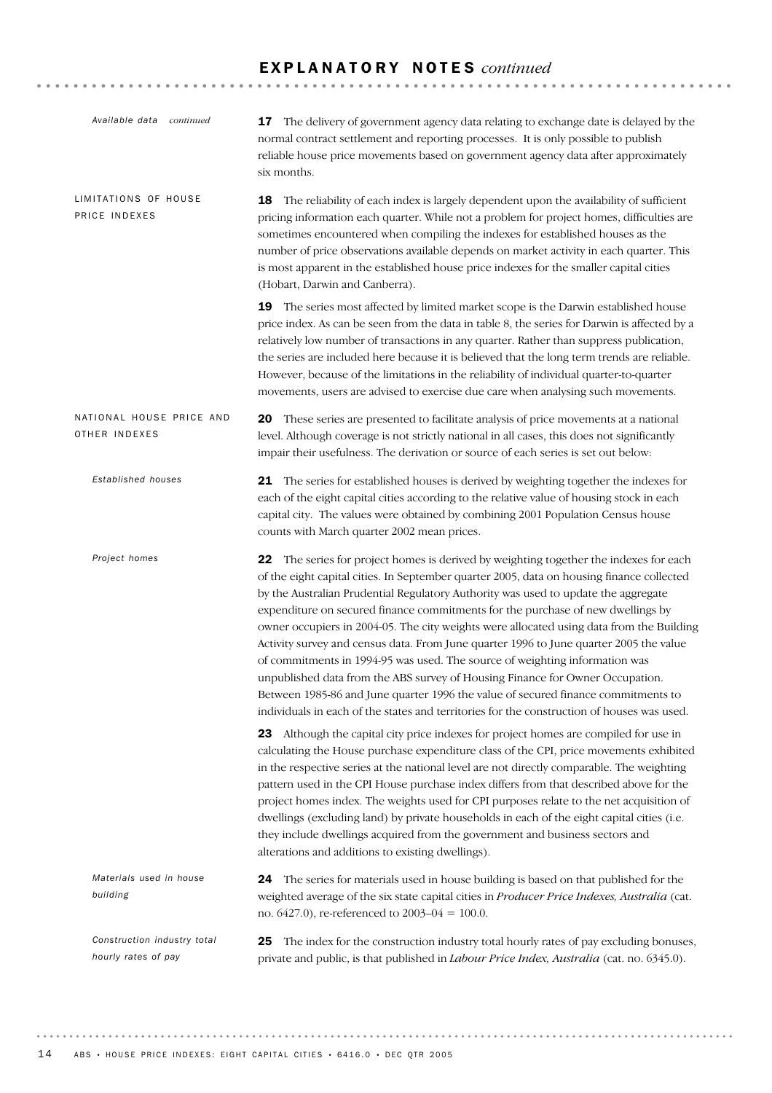### E X P L A N A T O R Y N O T E S *continued*

| Available data continued                           | 17 The delivery of government agency data relating to exchange date is delayed by the<br>normal contract settlement and reporting processes. It is only possible to publish<br>reliable house price movements based on government agency data after approximately<br>six months.                                                                                                                                                                                                                                                                                                                                                                                                                                                                                                                                                                                                                        |
|----------------------------------------------------|---------------------------------------------------------------------------------------------------------------------------------------------------------------------------------------------------------------------------------------------------------------------------------------------------------------------------------------------------------------------------------------------------------------------------------------------------------------------------------------------------------------------------------------------------------------------------------------------------------------------------------------------------------------------------------------------------------------------------------------------------------------------------------------------------------------------------------------------------------------------------------------------------------|
| LIMITATIONS OF HOUSE<br>PRICE INDEXES              | The reliability of each index is largely dependent upon the availability of sufficient<br>18<br>pricing information each quarter. While not a problem for project homes, difficulties are<br>sometimes encountered when compiling the indexes for established houses as the<br>number of price observations available depends on market activity in each quarter. This<br>is most apparent in the established house price indexes for the smaller capital cities<br>(Hobart, Darwin and Canberra).                                                                                                                                                                                                                                                                                                                                                                                                      |
|                                                    | 19 The series most affected by limited market scope is the Darwin established house<br>price index. As can be seen from the data in table 8, the series for Darwin is affected by a<br>relatively low number of transactions in any quarter. Rather than suppress publication,<br>the series are included here because it is believed that the long term trends are reliable.<br>However, because of the limitations in the reliability of individual quarter-to-quarter<br>movements, users are advised to exercise due care when analysing such movements.                                                                                                                                                                                                                                                                                                                                            |
| NATIONAL HOUSE PRICE AND<br>OTHER INDEXES          | 20 These series are presented to facilitate analysis of price movements at a national<br>level. Although coverage is not strictly national in all cases, this does not significantly<br>impair their usefulness. The derivation or source of each series is set out below:                                                                                                                                                                                                                                                                                                                                                                                                                                                                                                                                                                                                                              |
| Established houses                                 | 21 The series for established houses is derived by weighting together the indexes for<br>each of the eight capital cities according to the relative value of housing stock in each<br>capital city. The values were obtained by combining 2001 Population Census house<br>counts with March quarter 2002 mean prices.                                                                                                                                                                                                                                                                                                                                                                                                                                                                                                                                                                                   |
| Project homes                                      | The series for project homes is derived by weighting together the indexes for each<br>22<br>of the eight capital cities. In September quarter 2005, data on housing finance collected<br>by the Australian Prudential Regulatory Authority was used to update the aggregate<br>expenditure on secured finance commitments for the purchase of new dwellings by<br>owner occupiers in 2004-05. The city weights were allocated using data from the Building<br>Activity survey and census data. From June quarter 1996 to June quarter 2005 the value<br>of commitments in 1994-95 was used. The source of weighting information was<br>unpublished data from the ABS survey of Housing Finance for Owner Occupation.<br>Between 1985-86 and June quarter 1996 the value of secured finance commitments to<br>individuals in each of the states and territories for the construction of houses was used. |
|                                                    | 23 Although the capital city price indexes for project homes are compiled for use in<br>calculating the House purchase expenditure class of the CPI, price movements exhibited<br>in the respective series at the national level are not directly comparable. The weighting<br>pattern used in the CPI House purchase index differs from that described above for the<br>project homes index. The weights used for CPI purposes relate to the net acquisition of<br>dwellings (excluding land) by private households in each of the eight capital cities (i.e.<br>they include dwellings acquired from the government and business sectors and<br>alterations and additions to existing dwellings).                                                                                                                                                                                                     |
| Materials used in house<br>building                | The series for materials used in house building is based on that published for the<br>24<br>weighted average of the six state capital cities in Producer Price Indexes, Australia (cat.<br>no. $6427.0$ ), re-referenced to $2003-04 = 100.0$ .                                                                                                                                                                                                                                                                                                                                                                                                                                                                                                                                                                                                                                                         |
| Construction industry total<br>hourly rates of pay | The index for the construction industry total hourly rates of pay excluding bonuses,<br>25<br>private and public, is that published in <i>Labour Price Index</i> , Australia (cat. no. 6345.0).                                                                                                                                                                                                                                                                                                                                                                                                                                                                                                                                                                                                                                                                                                         |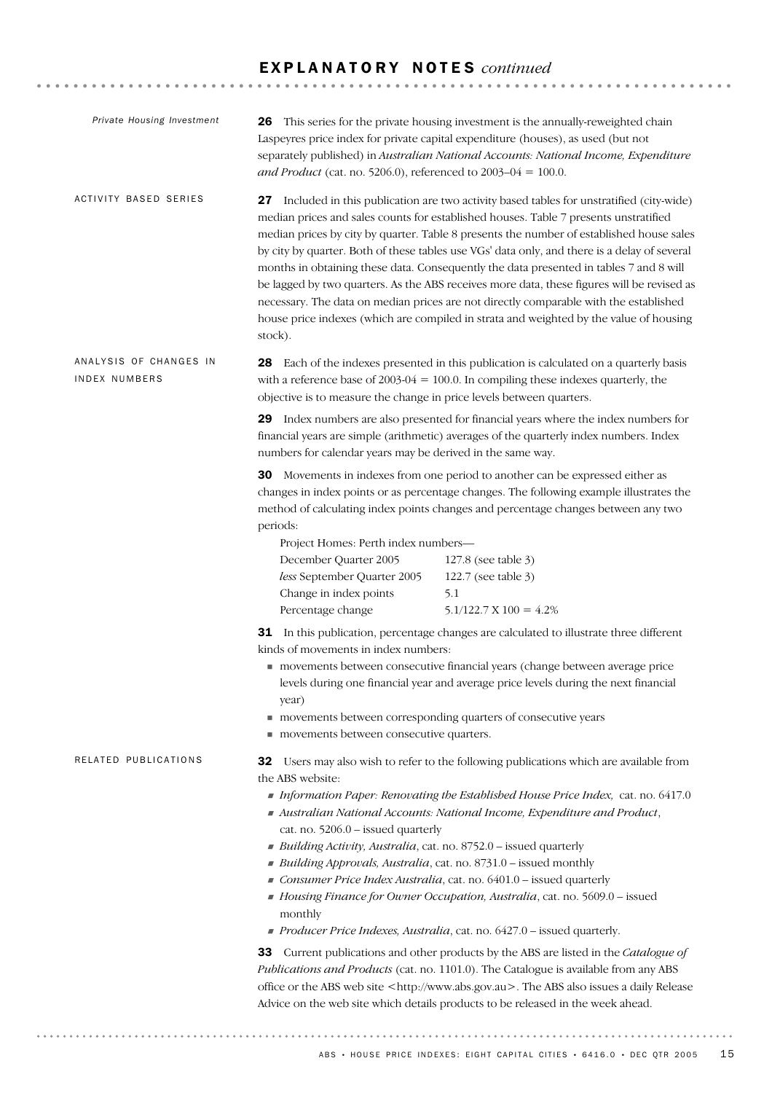### E X P L A N A T O R Y N O T E S *continued*

| Private Housing Investment              | This series for the private housing investment is the annually-reweighted chain<br>26<br>Laspeyres price index for private capital expenditure (houses), as used (but not<br>separately published) in Australian National Accounts: National Income, Expenditure<br>and Product (cat. no. 5206.0), referenced to $2003-04 = 100.0$ .                                                                                                                                                                                                                                                                                                                                                                                                                                                                                                                                              |
|-----------------------------------------|-----------------------------------------------------------------------------------------------------------------------------------------------------------------------------------------------------------------------------------------------------------------------------------------------------------------------------------------------------------------------------------------------------------------------------------------------------------------------------------------------------------------------------------------------------------------------------------------------------------------------------------------------------------------------------------------------------------------------------------------------------------------------------------------------------------------------------------------------------------------------------------|
| <b>ACTIVITY BASED SERIES</b>            | 27 Included in this publication are two activity based tables for unstratified (city-wide)<br>median prices and sales counts for established houses. Table 7 presents unstratified<br>median prices by city by quarter. Table 8 presents the number of established house sales<br>by city by quarter. Both of these tables use VGs' data only, and there is a delay of several<br>months in obtaining these data. Consequently the data presented in tables 7 and 8 will<br>be lagged by two quarters. As the ABS receives more data, these figures will be revised as<br>necessary. The data on median prices are not directly comparable with the established<br>house price indexes (which are compiled in strata and weighted by the value of housing<br>stock).                                                                                                              |
| ANALYSIS OF CHANGES IN<br>INDEX NUMBERS | 28 Each of the indexes presented in this publication is calculated on a quarterly basis<br>with a reference base of $2003-04 = 100.0$ . In compiling these indexes quarterly, the<br>objective is to measure the change in price levels between quarters.                                                                                                                                                                                                                                                                                                                                                                                                                                                                                                                                                                                                                         |
|                                         | <b>29</b> Index numbers are also presented for financial years where the index numbers for<br>financial years are simple (arithmetic) averages of the quarterly index numbers. Index<br>numbers for calendar years may be derived in the same way.                                                                                                                                                                                                                                                                                                                                                                                                                                                                                                                                                                                                                                |
|                                         | <b>30</b> Movements in indexes from one period to another can be expressed either as<br>changes in index points or as percentage changes. The following example illustrates the<br>method of calculating index points changes and percentage changes between any two<br>periods:<br>Project Homes: Perth index numbers-<br>December Quarter 2005<br>127.8 (see table 3)<br>less September Quarter 2005<br>122.7 (see table 3)<br>Change in index points<br>5.1                                                                                                                                                                                                                                                                                                                                                                                                                    |
|                                         | Percentage change<br>$5.1/122.7 \text{ X } 100 = 4.2\%$<br><b>31</b> In this publication, percentage changes are calculated to illustrate three different<br>kinds of movements in index numbers:                                                                                                                                                                                                                                                                                                                                                                                                                                                                                                                                                                                                                                                                                 |
|                                         | movements between consecutive financial years (change between average price<br>levels during one financial year and average price levels during the next financial<br>year)<br>movements between corresponding quarters of consecutive years<br>movements between consecutive quarters.                                                                                                                                                                                                                                                                                                                                                                                                                                                                                                                                                                                           |
| RELATED PUBLICATIONS                    | Users may also wish to refer to the following publications which are available from<br>32<br>the ABS website:<br>Information Paper: Renovating the Established House Price Index, cat. no. 6417.0<br>Australian National Accounts: National Income, Expenditure and Product,<br>cat. no. 5206.0 - issued quarterly<br>Building Activity, Australia, cat. no. 8752.0 - issued quarterly<br>Building Approvals, Australia, cat. no. 8731.0 - issued monthly<br>Consumer Price Index Australia, cat. no. 6401.0 - issued quarterly<br>Housing Finance for Owner Occupation, Australia, cat. no. 5609.0 - issued<br>monthly<br>Producer Price Indexes, Australia, cat. no. 6427.0 - issued quarterly.<br>33 Current publications and other products by the ABS are listed in the Catalogue of<br>Publications and Products (cat. no. 1101.0). The Catalogue is available from any ABS |
|                                         | office or the ABS web site <http: www.abs.gov.au="">. The ABS also issues a daily Release<br/>Advice on the web site which details products to be released in the week ahead.</http:>                                                                                                                                                                                                                                                                                                                                                                                                                                                                                                                                                                                                                                                                                             |